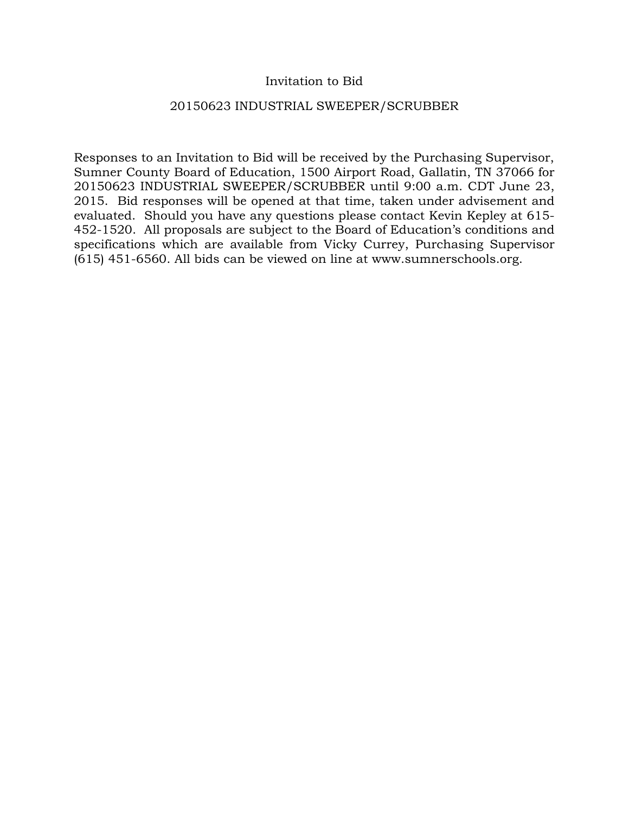## Invitation to Bid

## 20150623 INDUSTRIAL SWEEPER/SCRUBBER

Responses to an Invitation to Bid will be received by the Purchasing Supervisor, Sumner County Board of Education, 1500 Airport Road, Gallatin, TN 37066 for 20150623 INDUSTRIAL SWEEPER/SCRUBBER until 9:00 a.m. CDT June 23, 2015. Bid responses will be opened at that time, taken under advisement and evaluated. Should you have any questions please contact Kevin Kepley at 615- 452-1520. All proposals are subject to the Board of Education's conditions and specifications which are available from Vicky Currey, Purchasing Supervisor (615) 451-6560. All bids can be viewed on line at www.sumnerschools.org.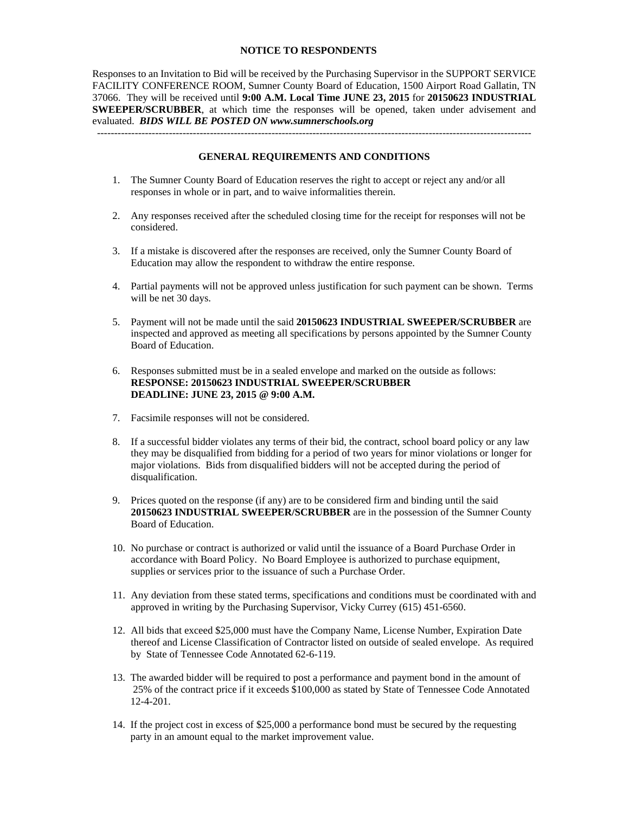#### **NOTICE TO RESPONDENTS**

Responses to an Invitation to Bid will be received by the Purchasing Supervisor in the SUPPORT SERVICE FACILITY CONFERENCE ROOM, Sumner County Board of Education, 1500 Airport Road Gallatin, TN 37066. They will be received until **9:00 A.M. Local Time JUNE 23, 2015** for **20150623 INDUSTRIAL SWEEPER/SCRUBBER**, at which time the responses will be opened, taken under advisement and evaluated. *BIDS WILL BE POSTED ON www.sumnerschools.org* 

#### **GENERAL REQUIREMENTS AND CONDITIONS**

-------------------------------------------------------------------------------------------------------------------------------

- 1. The Sumner County Board of Education reserves the right to accept or reject any and/or all responses in whole or in part, and to waive informalities therein.
- 2. Any responses received after the scheduled closing time for the receipt for responses will not be considered.
- 3. If a mistake is discovered after the responses are received, only the Sumner County Board of Education may allow the respondent to withdraw the entire response.
- 4. Partial payments will not be approved unless justification for such payment can be shown. Terms will be net 30 days.
- 5. Payment will not be made until the said **20150623 INDUSTRIAL SWEEPER/SCRUBBER** are inspected and approved as meeting all specifications by persons appointed by the Sumner County Board of Education.
- 6. Responses submitted must be in a sealed envelope and marked on the outside as follows: **RESPONSE: 20150623 INDUSTRIAL SWEEPER/SCRUBBER DEADLINE: JUNE 23, 2015 @ 9:00 A.M.**
- 7. Facsimile responses will not be considered.
- 8. If a successful bidder violates any terms of their bid, the contract, school board policy or any law they may be disqualified from bidding for a period of two years for minor violations or longer for major violations. Bids from disqualified bidders will not be accepted during the period of disqualification.
- 9. Prices quoted on the response (if any) are to be considered firm and binding until the said **20150623 INDUSTRIAL SWEEPER/SCRUBBER** are in the possession of the Sumner County Board of Education.
- 10. No purchase or contract is authorized or valid until the issuance of a Board Purchase Order in accordance with Board Policy. No Board Employee is authorized to purchase equipment, supplies or services prior to the issuance of such a Purchase Order.
- 11. Any deviation from these stated terms, specifications and conditions must be coordinated with and approved in writing by the Purchasing Supervisor, Vicky Currey (615) 451-6560.
- 12. All bids that exceed \$25,000 must have the Company Name, License Number, Expiration Date thereof and License Classification of Contractor listed on outside of sealed envelope. As required by State of Tennessee Code Annotated 62-6-119.
- 13. The awarded bidder will be required to post a performance and payment bond in the amount of 25% of the contract price if it exceeds \$100,000 as stated by State of Tennessee Code Annotated 12-4-201.
- 14. If the project cost in excess of \$25,000 a performance bond must be secured by the requesting party in an amount equal to the market improvement value.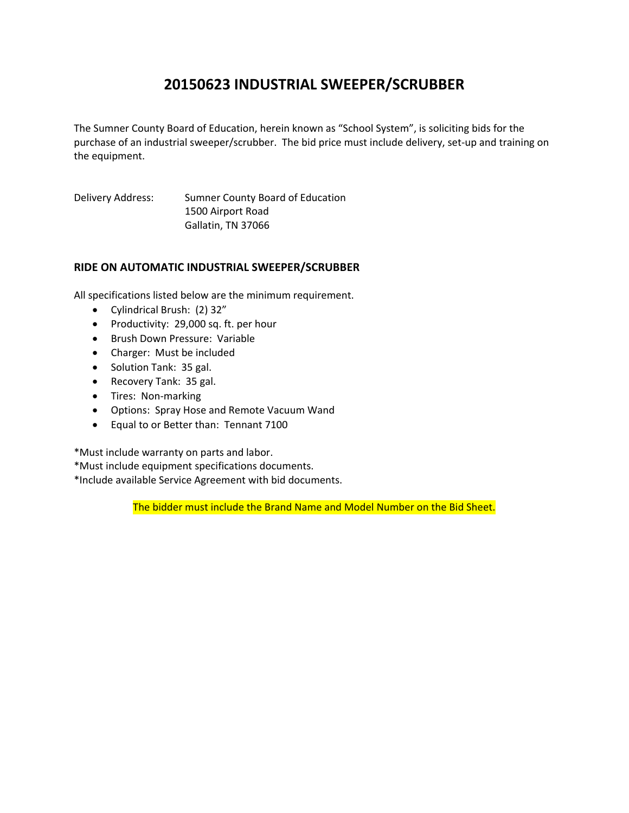# **20150623 INDUSTRIAL SWEEPER/SCRUBBER**

The Sumner County Board of Education, herein known as "School System", is soliciting bids for the purchase of an industrial sweeper/scrubber. The bid price must include delivery, set-up and training on the equipment.

Delivery Address: Sumner County Board of Education 1500 Airport Road Gallatin, TN 37066

### **RIDE ON AUTOMATIC INDUSTRIAL SWEEPER/SCRUBBER**

All specifications listed below are the minimum requirement.

- Cylindrical Brush: (2) 32"
- Productivity: 29,000 sq. ft. per hour
- Brush Down Pressure: Variable
- Charger: Must be included
- Solution Tank: 35 gal.
- Recovery Tank: 35 gal.
- Tires: Non-marking
- Options: Spray Hose and Remote Vacuum Wand
- Equal to or Better than: Tennant 7100

\*Must include warranty on parts and labor.

- \*Must include equipment specifications documents.
- \*Include available Service Agreement with bid documents.

The bidder must include the Brand Name and Model Number on the Bid Sheet.